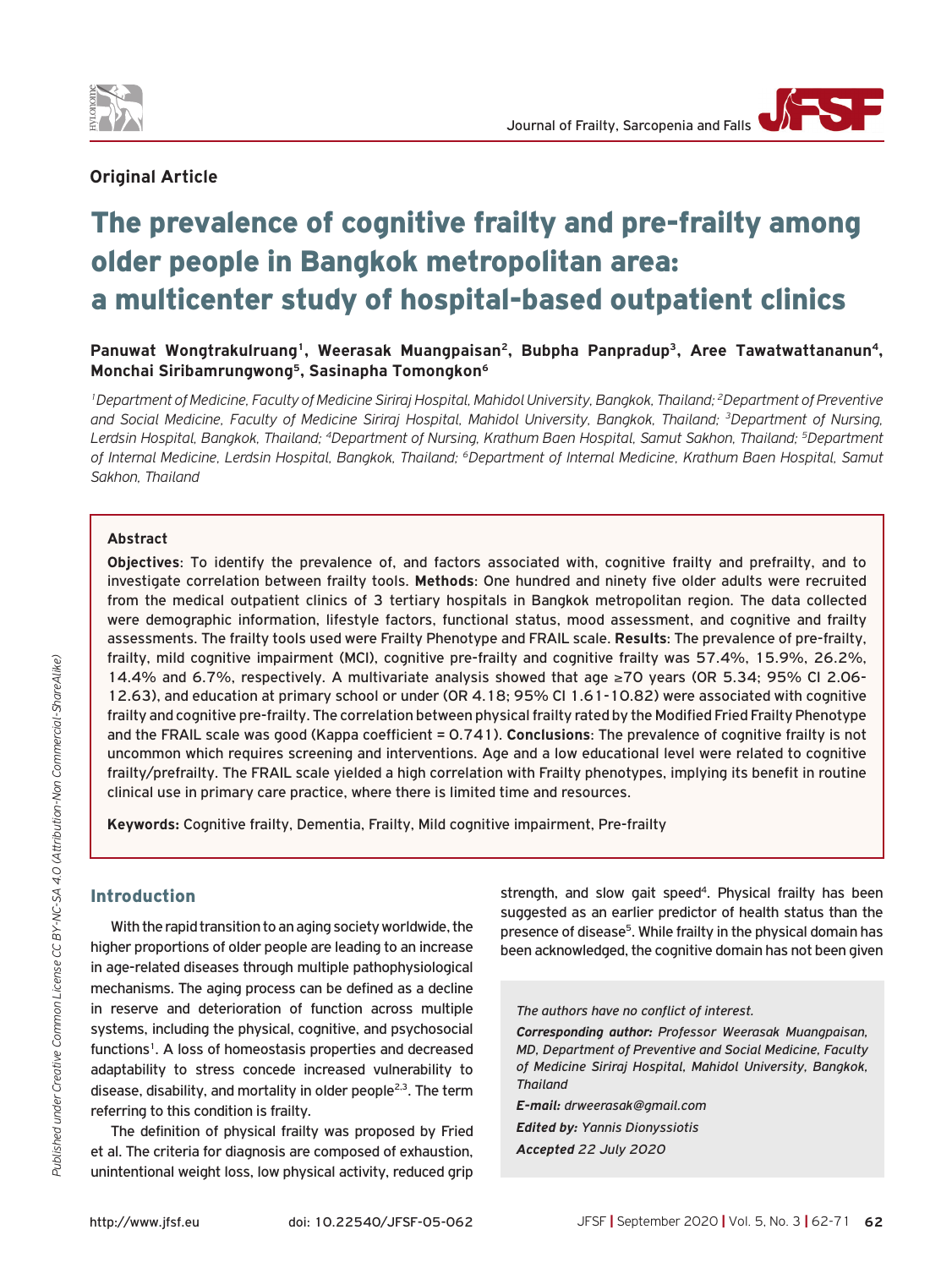

## **Original Article**

# The prevalence of cognitive frailty and pre-frailty among older people in Bangkok metropolitan area: a multicenter study of hospital-based outpatient clinics

Panuwat Wongtrakulruang<sup>1</sup>, Weerasak Muangpaisan<sup>2</sup>, Bubpha Panpradup<sup>3</sup>, Aree Tawatwattananun<sup>4</sup>, **Monchai Siribamrungwong5, Sasinapha Tomongkon6**

*1Department of Medicine, Faculty of Medicine Siriraj Hospital, Mahidol University, Bangkok, Thailand; 2Department of Preventive and Social Medicine, Faculty of Medicine Siriraj Hospital, Mahidol University, Bangkok, Thailand; 3Department of Nursing, Lerdsin Hospital, Bangkok, Thailand; 4Department of Nursing, Krathum Baen Hospital, Samut Sakhon, Thailand; 5Department of Internal Medicine, Lerdsin Hospital, Bangkok, Thailand; 6Department of Internal Medicine, Krathum Baen Hospital, Samut Sakhon, Thailand*

#### **Abstract**

**Objectives**: To identify the prevalence of, and factors associated with, cognitive frailty and prefrailty, and to investigate correlation between frailty tools. **Methods**: One hundred and ninety five older adults were recruited from the medical outpatient clinics of 3 tertiary hospitals in Bangkok metropolitan region. The data collected were demographic information, lifestyle factors, functional status, mood assessment, and cognitive and frailty assessments. The frailty tools used were Frailty Phenotype and FRAIL scale. **Results**: The prevalence of pre-frailty, frailty, mild cognitive impairment (MCI), cognitive pre-frailty and cognitive frailty was 57.4%, 15.9%, 26.2%, 14.4% and 6.7%, respectively. A multivariate analysis showed that age ≥70 years (OR 5.34; 95% CI 2.06- 12.63), and education at primary school or under (OR 4.18; 95% CI 1.61-10.82) were associated with cognitive frailty and cognitive pre-frailty. The correlation between physical frailty rated by the Modified Fried Frailty Phenotype and the FRAIL scale was good (Kappa coefficient = 0.741). **Conclusions**: The prevalence of cognitive frailty is not uncommon which requires screening and interventions. Age and a low educational level were related to cognitive frailty/prefrailty. The FRAIL scale yielded a high correlation with Frailty phenotypes, implying its benefit in routine clinical use in primary care practice, where there is limited time and resources.

**Keywords:** Cognitive frailty, Dementia, Frailty, Mild cognitive impairment, Pre-frailty

#### Introduction

With the rapid transition to an aging society worldwide, the higher proportions of older people are leading to an increase in age-related diseases through multiple pathophysiological mechanisms. The aging process can be defined as a decline in reserve and deterioration of function across multiple systems, including the physical, cognitive, and psychosocial functions<sup>1</sup>. A loss of homeostasis properties and decreased adaptability to stress concede increased vulnerability to disease, disability, and mortality in older people<sup>2,3</sup>. The term referring to this condition is frailty.

The definition of physical frailty was proposed by Fried et al. The criteria for diagnosis are composed of exhaustion, unintentional weight loss, low physical activity, reduced grip

strength, and slow gait speed<sup>4</sup>. Physical frailty has been suggested as an earlier predictor of health status than the presence of disease<sup>5</sup>. While frailty in the physical domain has been acknowledged, the cognitive domain has not been given

*The authors have no conflict of interest.*

*Corresponding author: Professor Weerasak Muangpaisan, MD, Department of Preventive and Social Medicine, Faculty of Medicine Siriraj Hospital, Mahidol University, Bangkok, Thailand*

*E-mail: drweerasak@gmail.com Edited by: Yannis Dionyssiotis Accepted 22 July 2020*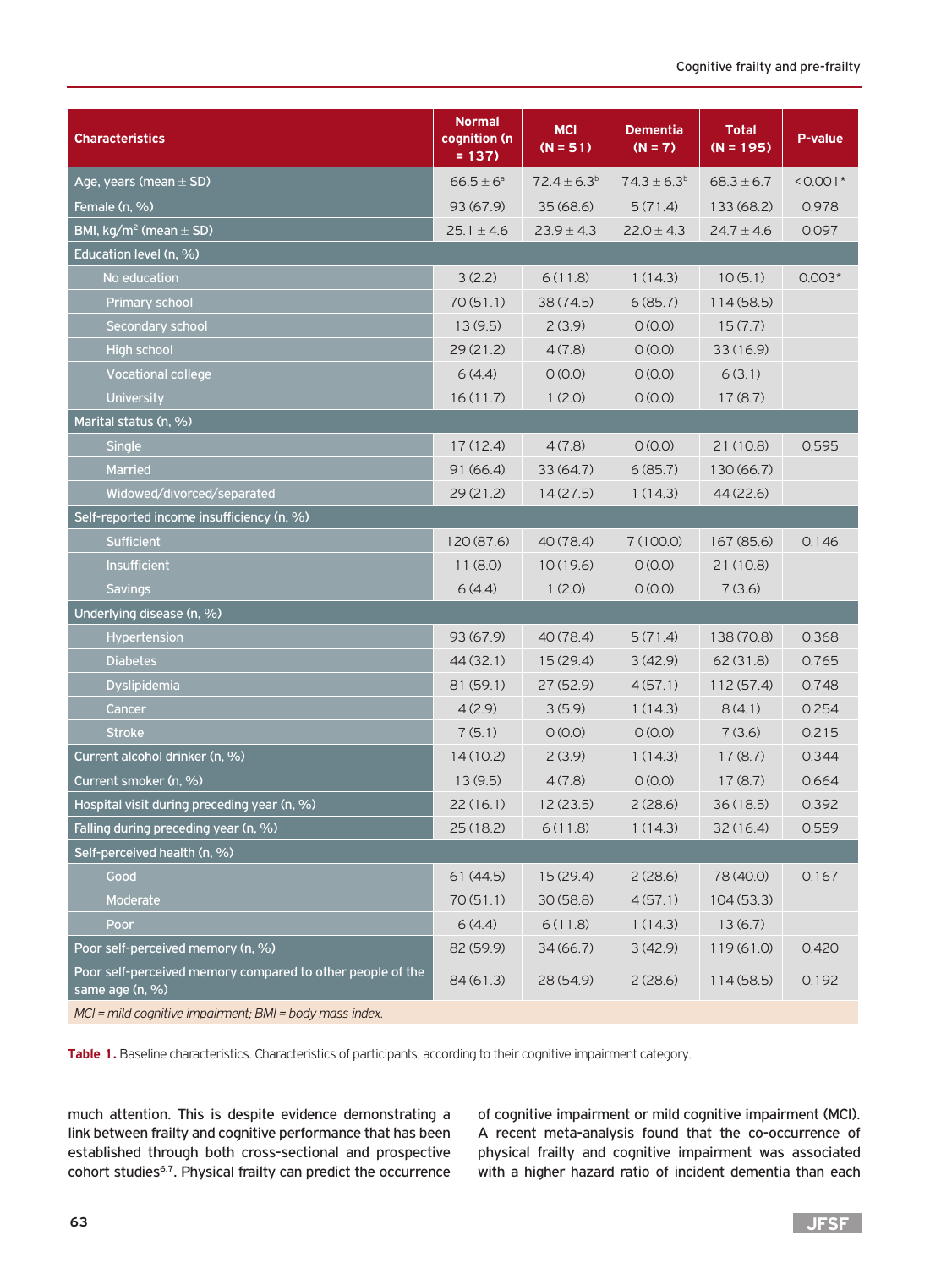| <b>Characteristics</b>                                                        | <b>Normal</b><br>cognition (n<br>$= 137$ | <b>MCI</b><br>$(N = 51)$ | <b>Dementia</b><br>$(N = 7)$ | <b>Total</b><br>$(N = 195)$ | <b>P-value</b> |
|-------------------------------------------------------------------------------|------------------------------------------|--------------------------|------------------------------|-----------------------------|----------------|
| Age, years (mean $\pm$ SD)                                                    | $66.5 \pm 6^a$                           | $72.4 \pm 6.3^b$         | $74.3 \pm 6.3^b$             | $68.3 \pm 6.7$              | $< 0.001*$     |
| Female (n, %)                                                                 | 93(67.9)                                 | 35(68.6)                 | 5(71.4)                      | 133(68.2)                   | 0.978          |
| BMI, kg/m <sup>2</sup> (mean $\pm$ SD)                                        | $25.1 \pm 4.6$                           | $23.9 \pm 4.3$           | $22.0 \pm 4.3$               | $24.7 \pm 4.6$              | 0.097          |
| Education level (n, %)                                                        |                                          |                          |                              |                             |                |
| No education                                                                  | 3(2.2)                                   | 6(11.8)                  | 1(14.3)                      | 10(5.1)                     | $0.003*$       |
| <b>Primary school</b>                                                         | 70(51.1)                                 | 38(74.5)                 | 6(85.7)                      | 114(58.5)                   |                |
| Secondary school                                                              | 13(9.5)                                  | 2(3.9)                   | O(0.0)                       | 15(7.7)                     |                |
| High school                                                                   | 29(21.2)                                 | 4(7.8)                   | O(0.0)                       | 33(16.9)                    |                |
| <b>Vocational college</b>                                                     | 6(4.4)                                   | O(0.0)                   | O(0.0)                       | 6(3.1)                      |                |
| University                                                                    | 16(11.7)                                 | 1(2.0)                   | O(0.0)                       | 17(8.7)                     |                |
| Marital status (n, %)                                                         |                                          |                          |                              |                             |                |
| Single                                                                        | 17(12.4)                                 | 4(7.8)                   | O(0.0)                       | 21 (10.8)                   | 0.595          |
| <b>Married</b>                                                                | 91(66.4)                                 | 33(64.7)                 | 6(85.7)                      | 130 (66.7)                  |                |
| Widowed/divorced/separated                                                    | 29(21.2)                                 | 14(27.5)                 | 1(14.3)                      | 44 (22.6)                   |                |
| Self-reported income insufficiency (n, %)                                     |                                          |                          |                              |                             |                |
| <b>Sufficient</b>                                                             | 120 (87.6)                               | 40(78.4)                 | 7(100.0)                     | 167 (85.6)                  | 0.146          |
| Insufficient                                                                  | 11(8.0)                                  | 10(19.6)                 | O(0.0)                       | 21 (10.8)                   |                |
| <b>Savings</b>                                                                | 6(4.4)                                   | 1(2.0)                   | O(0.0)                       | 7(3.6)                      |                |
| Underlying disease (n, %)                                                     |                                          |                          |                              |                             |                |
| <b>Hypertension</b>                                                           | 93 (67.9)                                | 40(78.4)                 | 5(71.4)                      | 138 (70.8)                  | 0.368          |
| <b>Diabetes</b>                                                               | 44 (32.1)                                | 15(29.4)                 | 3(42.9)                      | 62(31.8)                    | 0.765          |
| Dyslipidemia                                                                  | 81 (59.1)                                | 27(52.9)                 | 4(57.1)                      | 112(57.4)                   | 0.748          |
| Cancer                                                                        | 4(2.9)                                   | 3(5.9)                   | 1(14.3)                      | 8(4.1)                      | 0.254          |
| <b>Stroke</b>                                                                 | 7(5.1)                                   | O(0.0)                   | O(0.0)                       | 7(3.6)                      | 0.215          |
| Current alcohol drinker (n, %)                                                | 14(10.2)                                 | 2(3.9)                   | 1(14.3)                      | 17(8.7)                     | 0.344          |
| Current smoker (n. %)                                                         | 13(9.5)                                  | 4(7.8)                   | O(0.0)                       | 17(8.7)                     | 0.664          |
| Hospital visit during preceding year (n, %)                                   | 22(16.1)                                 | 12 (23.5)                | 2(28.6)                      | 36(18.5)                    | 0.392          |
| Falling during preceding year (n, %)                                          | 25(18.2)                                 | 6(11.8)                  | 1(14.3)                      | 32(16.4)                    | 0.559          |
| Self-perceived health (n, %)                                                  |                                          |                          |                              |                             |                |
| Good                                                                          | 61(44.5)                                 | 15(29.4)                 | 2(28.6)                      | 78 (40.0)                   | 0.167          |
| Moderate                                                                      | 70(51.1)                                 | 30(58.8)                 | 4(57.1)                      | 104(53.3)                   |                |
| Poor                                                                          | 6(4.4)                                   | 6(11.8)                  | 1(14.3)                      | 13(6.7)                     |                |
| Poor self-perceived memory (n, %)                                             | 82 (59.9)                                | 34(66.7)                 | 3(42.9)                      | 119(61.0)                   | 0.420          |
| Poor self-perceived memory compared to other people of the<br>same age (n, %) | 84(61.3)                                 | 28(54.9)                 | 2(28.6)                      | 114(58.5)                   | 0.192          |

*MCI = mild cognitive impairment; BMI = body mass index.*

**Table 1.** Baseline characteristics. Characteristics of participants, according to their cognitive impairment category.

much attention. This is despite evidence demonstrating a link between frailty and cognitive performance that has been established through both cross-sectional and prospective cohort studies<sup>6,7</sup>. Physical frailty can predict the occurrence

of cognitive impairment or mild cognitive impairment (MCI). A recent meta-analysis found that the co-occurrence of physical frailty and cognitive impairment was associated with a higher hazard ratio of incident dementia than each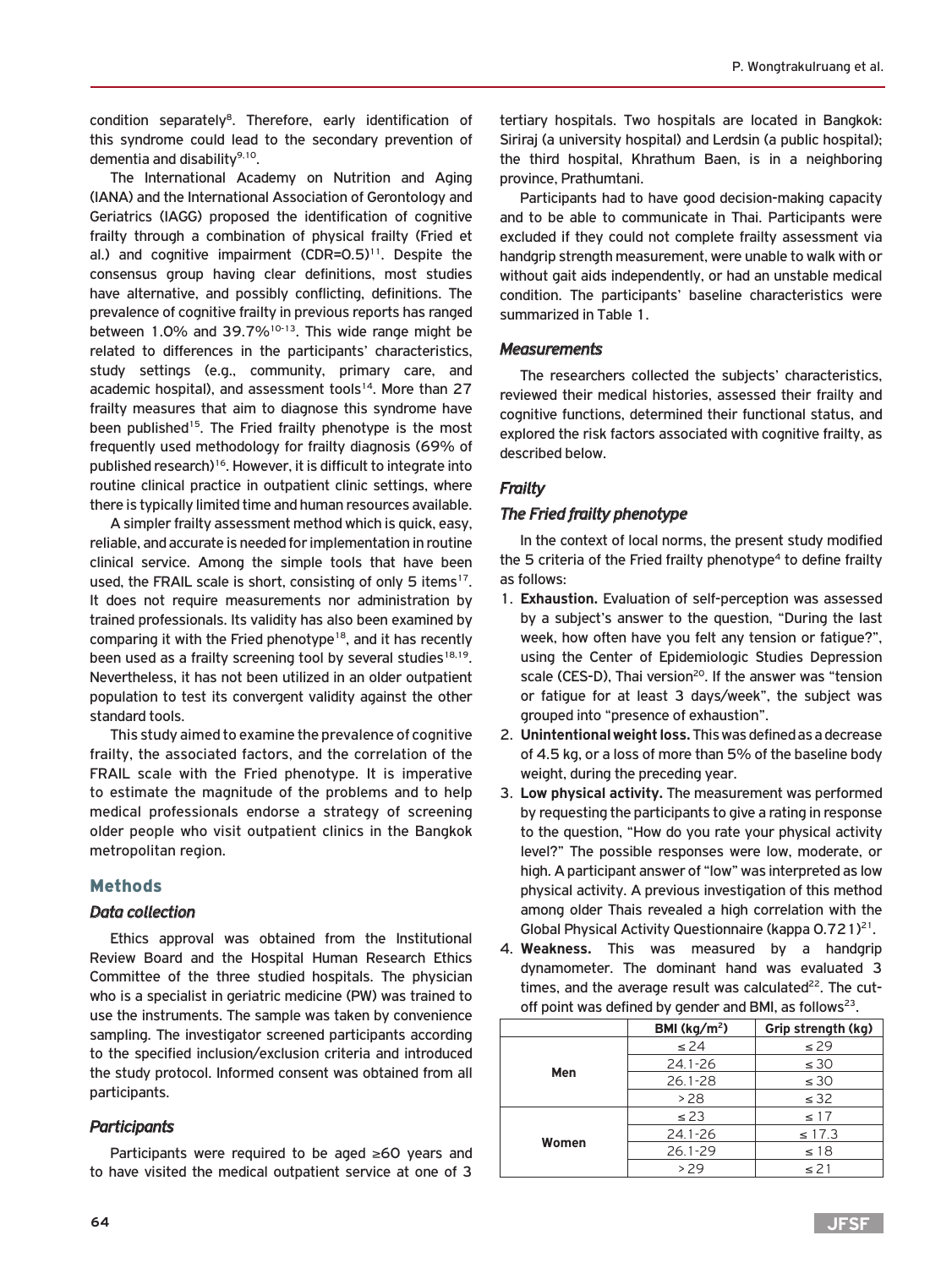condition separately<sup>8</sup>. Therefore, early identification of this syndrome could lead to the secondary prevention of dementia and disability<sup>9,10</sup>.

The International Academy on Nutrition and Aging (IANA) and the International Association of Gerontology and Geriatrics (IAGG) proposed the identification of cognitive frailty through a combination of physical frailty (Fried et al.) and cognitive impairment  $(CDR=0.5)^{11}$ . Despite the consensus group having clear definitions, most studies have alternative, and possibly conflicting, definitions. The prevalence of cognitive frailty in previous reports has ranged between 1.0% and 39.7% $10^{-13}$ . This wide range might be related to differences in the participants' characteristics, study settings (e.g., community, primary care, and academic hospital), and assessment tools<sup>14</sup>. More than 27 frailty measures that aim to diagnose this syndrome have been published<sup>15</sup>. The Fried frailty phenotype is the most frequently used methodology for frailty diagnosis (69% of published research)16. However, it is difficult to integrate into routine clinical practice in outpatient clinic settings, where there is typically limited time and human resources available.

A simpler frailty assessment method which is quick, easy, reliable, and accurate is needed for implementation in routine clinical service. Among the simple tools that have been used, the FRAIL scale is short, consisting of only 5 items<sup>17</sup>. It does not require measurements nor administration by trained professionals. Its validity has also been examined by comparing it with the Fried phenotype<sup>18</sup>, and it has recently been used as a frailty screening tool by several studies<sup>18,19</sup>. Nevertheless, it has not been utilized in an older outpatient population to test its convergent validity against the other standard tools.

This study aimed to examine the prevalence of cognitive frailty, the associated factors, and the correlation of the FRAIL scale with the Fried phenotype. It is imperative to estimate the magnitude of the problems and to help medical professionals endorse a strategy of screening older people who visit outpatient clinics in the Bangkok metropolitan region.

#### Methods

#### *Data collection*

Ethics approval was obtained from the Institutional Review Board and the Hospital Human Research Ethics Committee of the three studied hospitals. The physician who is a specialist in geriatric medicine (PW) was trained to use the instruments. The sample was taken by convenience sampling. The investigator screened participants according to the specified inclusion/exclusion criteria and introduced the study protocol. Informed consent was obtained from all participants.

#### *Participants*

Participants were required to be aged ≥60 years and to have visited the medical outpatient service at one of 3

tertiary hospitals. Two hospitals are located in Bangkok: Siriraj (a university hospital) and Lerdsin (a public hospital); the third hospital, Khrathum Baen, is in a neighboring province, Prathumtani.

Participants had to have good decision-making capacity and to be able to communicate in Thai. Participants were excluded if they could not complete frailty assessment via handgrip strength measurement, were unable to walk with or without gait aids independently, or had an unstable medical condition. The participants' baseline characteristics were summarized in Table 1.

#### *Measurements*

The researchers collected the subjects' characteristics, reviewed their medical histories, assessed their frailty and cognitive functions, determined their functional status, and explored the risk factors associated with cognitive frailty, as described below.

# *Frailty*

#### *The Fried frailty phenotype*

In the context of local norms, the present study modified the 5 criteria of the Fried frailty phenotype<sup>4</sup> to define frailty as follows:

- 1. **Exhaustion.** Evaluation of self-perception was assessed by a subject's answer to the question, "During the last week, how often have you felt any tension or fatigue?", using the Center of Epidemiologic Studies Depression scale (CES-D), Thai version<sup>20</sup>. If the answer was "tension or fatigue for at least 3 days/week", the subject was grouped into "presence of exhaustion".
- 2. **Unintentional weight loss.** This was defined as a decrease of 4.5 kg, or a loss of more than 5% of the baseline body weight, during the preceding year.
- 3. **Low physical activity.** The measurement was performed by requesting the participants to give a rating in response to the question, "How do you rate your physical activity level?" The possible responses were low, moderate, or high. A participant answer of "low" was interpreted as low physical activity. A previous investigation of this method among older Thais revealed a high correlation with the Global Physical Activity Questionnaire (kappa  $0.721$ )<sup>21</sup>.
- 4. **Weakness.** This was measured by a handgrip dynamometer. The dominant hand was evaluated 3 times, and the average result was calculated $22$ . The cutoff point was defined by gender and BMI, as follows<sup>23</sup>.

|       | BMI ( $kg/m2$ ) | Grip strength (kg) |
|-------|-----------------|--------------------|
|       | $\leq$ 24       | $\leq$ 29          |
|       | 24.1-26         | $\leq 30$          |
| Men   | $26.1 - 28$     | $\leq 30$          |
|       | >28             | $\leq$ 32          |
|       | $\leq$ 23       | $\leq 17$          |
| Women | 24.1-26         | $\leq$ 17.3        |
|       | $26.1 - 29$     | $\leq 18$          |
|       | > 29            | $\leq$ 21          |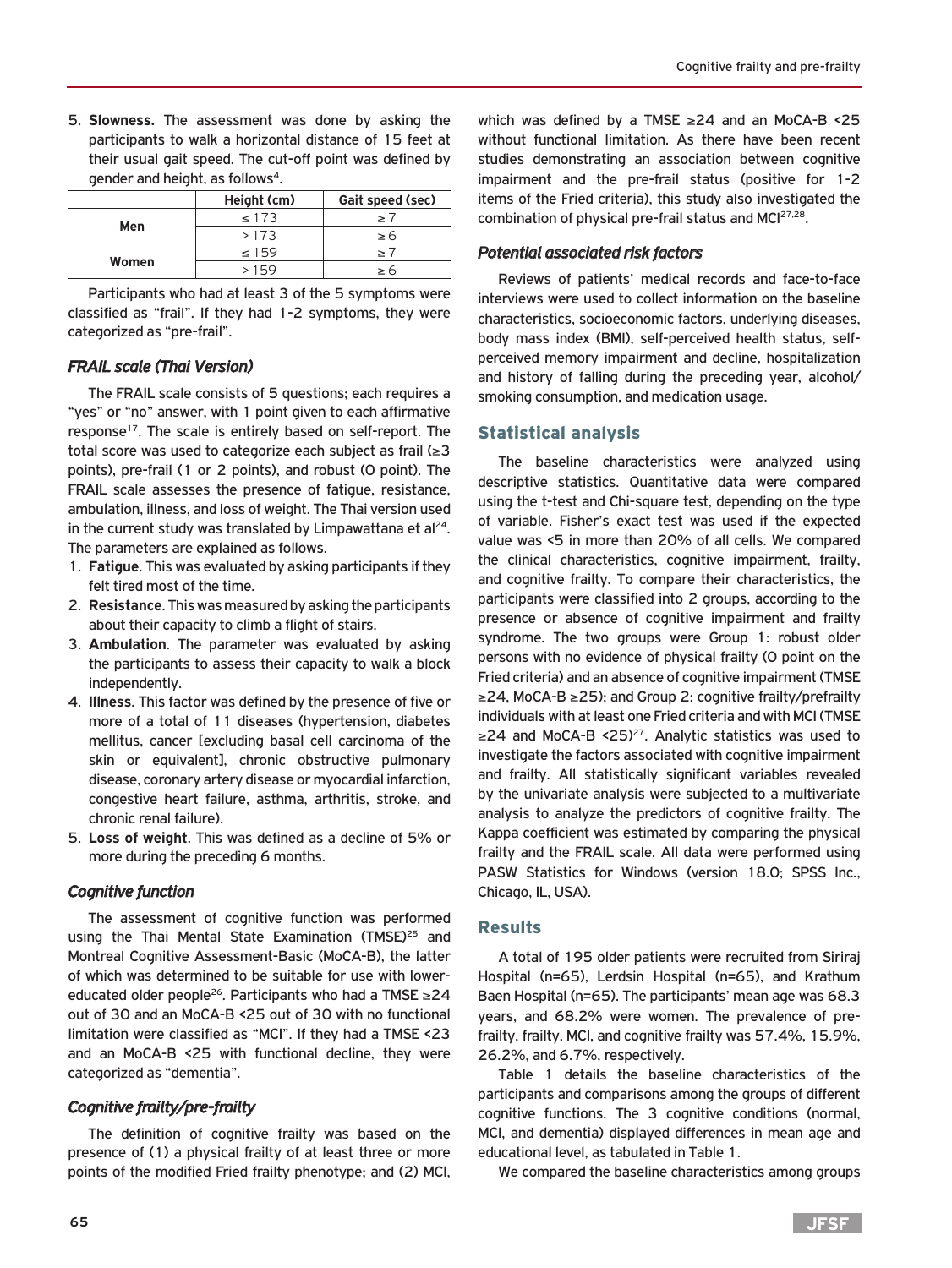5. **Slowness.** The assessment was done by asking the participants to walk a horizontal distance of 15 feet at their usual gait speed. The cut-off point was defined by gender and height, as follows<sup>4</sup>.

|       | Height (cm) | Gait speed (sec) |
|-------|-------------|------------------|
|       | < 173       |                  |
| Men   | >173        | 26               |
| Women | $\leq 159$  |                  |
|       | 59          |                  |

Participants who had at least 3 of the 5 symptoms were classified as "frail". If they had 1-2 symptoms, they were categorized as "pre-frail".

# *FRAIL scale (Thai Version)*

The FRAIL scale consists of 5 questions; each requires a "yes" or "no" answer, with 1 point given to each affirmative response<sup>17</sup>. The scale is entirely based on self-report. The total score was used to categorize each subject as frail (≥3 points), pre-frail (1 or 2 points), and robust (0 point). The FRAIL scale assesses the presence of fatigue, resistance, ambulation, illness, and loss of weight. The Thai version used in the current study was translated by Limpawattana et al $^{24}$ . The parameters are explained as follows.

- 1. **Fatigue**. This was evaluated by asking participants if they felt tired most of the time.
- 2. **Resistance**. This was measured by asking the participants about their capacity to climb a flight of stairs.
- 3. **Ambulation**. The parameter was evaluated by asking the participants to assess their capacity to walk a block independently.
- 4. **Illness**. This factor was defined by the presence of five or more of a total of 11 diseases (hypertension, diabetes mellitus, cancer [excluding basal cell carcinoma of the skin or equivalent], chronic obstructive pulmonary disease, coronary artery disease or myocardial infarction, congestive heart failure, asthma, arthritis, stroke, and chronic renal failure).
- 5. **Loss of weight**. This was defined as a decline of 5% or more during the preceding 6 months.

## *Cognitive function*

The assessment of cognitive function was performed using the Thai Mental State Examination (TMSE)<sup>25</sup> and Montreal Cognitive Assessment-Basic (MoCA-B), the latter of which was determined to be suitable for use with lowereducated older people26. Participants who had a TMSE ≥24 out of 30 and an MoCA-B <25 out of 30 with no functional limitation were classified as "MCI". If they had a TMSE <23 and an MoCA-B <25 with functional decline, they were categorized as "dementia".

# *Cognitive frailty/pre-frailty*

The definition of cognitive frailty was based on the presence of (1) a physical frailty of at least three or more points of the modified Fried frailty phenotype; and (2) MCI, which was defined by a TMSE ≥24 and an MoCA-B <25 without functional limitation. As there have been recent studies demonstrating an association between cognitive impairment and the pre-frail status (positive for 1-2 items of the Fried criteria), this study also investigated the combination of physical pre-frail status and MCI<sup>27,28</sup>.

# *Potential associated risk factors*

Reviews of patients' medical records and face-to-face interviews were used to collect information on the baseline characteristics, socioeconomic factors, underlying diseases, body mass index (BMI), self-perceived health status, selfperceived memory impairment and decline, hospitalization and history of falling during the preceding year, alcohol/ smoking consumption, and medication usage.

# Statistical analysis

The baseline characteristics were analyzed using descriptive statistics. Quantitative data were compared using the t-test and Chi-square test, depending on the type of variable. Fisher's exact test was used if the expected value was <5 in more than 20% of all cells. We compared the clinical characteristics, cognitive impairment, frailty, and cognitive frailty. To compare their characteristics, the participants were classified into 2 groups, according to the presence or absence of cognitive impairment and frailty syndrome. The two groups were Group 1: robust older persons with no evidence of physical frailty (0 point on the Fried criteria) and an absence of cognitive impairment (TMSE ≥24, MoCA-B ≥25); and Group 2: cognitive frailty/prefrailty individuals with at least one Fried criteria and with MCI (TMSE ≥24 and MoCA-B <25)27. Analytic statistics was used to investigate the factors associated with cognitive impairment and frailty. All statistically significant variables revealed by the univariate analysis were subjected to a multivariate analysis to analyze the predictors of cognitive frailty. The Kappa coefficient was estimated by comparing the physical frailty and the FRAIL scale. All data were performed using PASW Statistics for Windows (version 18.0; SPSS Inc., Chicago, IL, USA).

## Results

A total of 195 older patients were recruited from Siriraj Hospital (n=65), Lerdsin Hospital (n=65), and Krathum Baen Hospital (n=65). The participants' mean age was 68.3 years, and 68.2% were women. The prevalence of prefrailty, frailty, MCI, and cognitive frailty was 57.4%, 15.9%, 26.2%, and 6.7%, respectively.

Table 1 details the baseline characteristics of the participants and comparisons among the groups of different cognitive functions. The 3 cognitive conditions (normal, MCI, and dementia) displayed differences in mean age and educational level, as tabulated in Table 1.

We compared the baseline characteristics among groups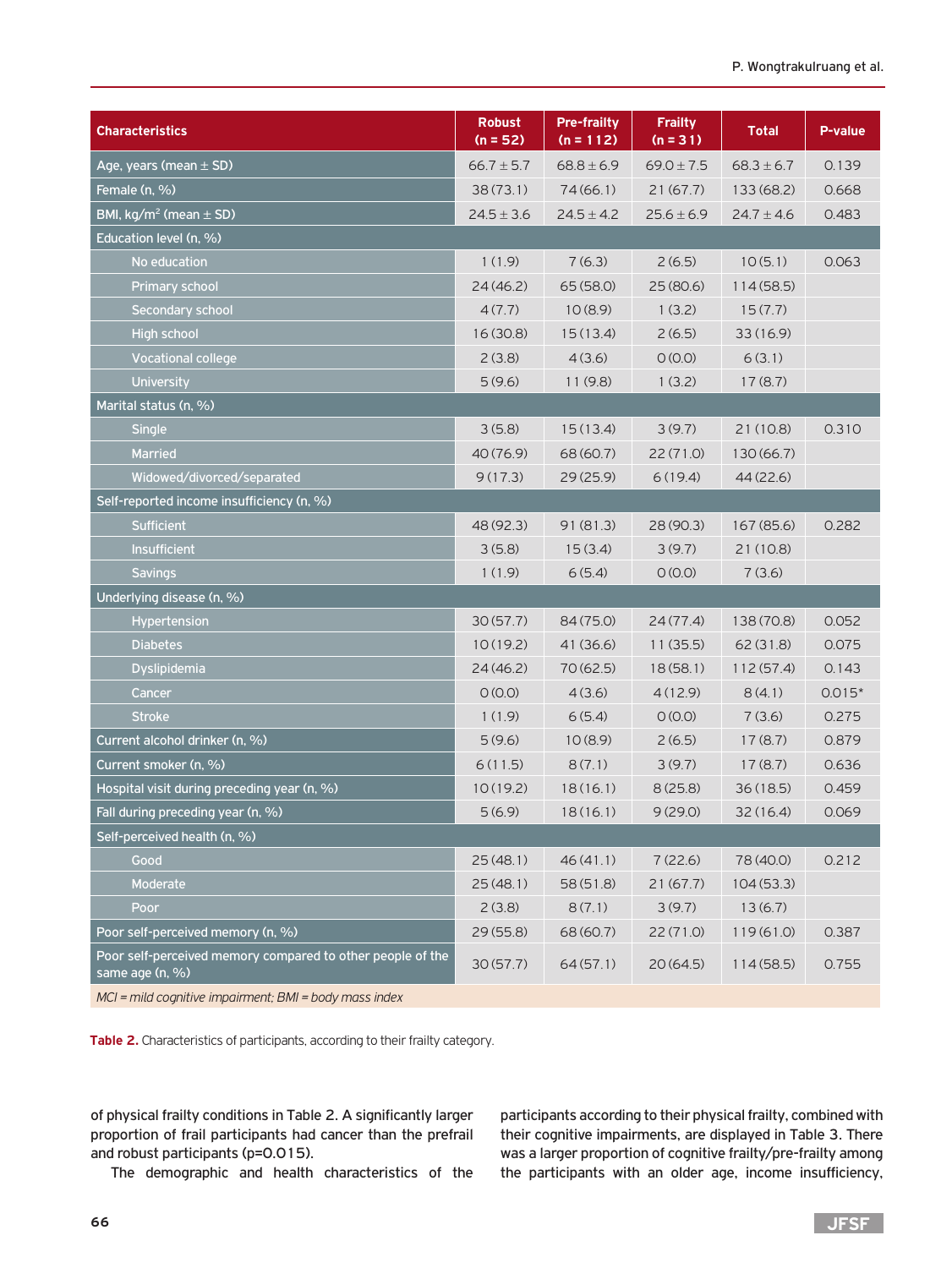|                                                                               | <b>Robust</b>  | <b>Pre-frailty</b> | <b>Frailty</b> |                |          |
|-------------------------------------------------------------------------------|----------------|--------------------|----------------|----------------|----------|
| <b>Characteristics</b>                                                        | $(n = 52)$     | $(n = 112)$        | $(n = 31)$     | <b>Total</b>   | P-value  |
| Age, years (mean $\pm$ SD)                                                    | $66.7 \pm 5.7$ | $68.8 \pm 6.9$     | $69.0 \pm 7.5$ | $68.3 \pm 6.7$ | 0.139    |
| Female (n, %)                                                                 | 38(73.1)       | 74(66.1)           | 21(67.7)       | 133 (68.2)     | 0.668    |
| BMI, $kg/m^2$ (mean $\pm$ SD)                                                 | $24.5 \pm 3.6$ | $24.5 \pm 4.2$     | $25.6 \pm 6.9$ | $24.7 \pm 4.6$ | 0.483    |
| Education level (n, %)                                                        |                |                    |                |                |          |
| No education                                                                  | 1(1.9)         | 7(6.3)             | 2(6.5)         | 10(5.1)        | 0.063    |
| <b>Primary school</b>                                                         | 24(46.2)       | 65(58.0)           | 25(80.6)       | 114(58.5)      |          |
| <b>Secondary school</b>                                                       | 4(7.7)         | 10(8.9)            | 1(3.2)         | 15(7.7)        |          |
| <b>High school</b>                                                            | 16 (30.8)      | 15(13.4)           | 2(6.5)         | 33(16.9)       |          |
| <b>Vocational college</b>                                                     | 2(3.8)         | 4(3.6)             | O(0.0)         | 6(3.1)         |          |
| <b>University</b>                                                             | 5(9.6)         | 11(9.8)            | 1(3.2)         | 17(8.7)        |          |
| Marital status (n, %)                                                         |                |                    |                |                |          |
| Single                                                                        | 3(5.8)         | 15(13.4)           | 3(9.7)         | 21 (10.8)      | 0.310    |
| Married                                                                       | 40 (76.9)      | 68 (60.7)          | 22 (71.0)      | 130(66.7)      |          |
| Widowed/divorced/separated                                                    | 9(17.3)        | 29(25.9)           | 6(19.4)        | 44(22.6)       |          |
| Self-reported income insufficiency (n, %)                                     |                |                    |                |                |          |
| <b>Sufficient</b>                                                             | 48 (92.3)      | 91(81.3)           | 28 (90.3)      | 167 (85.6)     | 0.282    |
| <b>Insufficient</b>                                                           | 3(5.8)         | 15(3.4)            | 3(9.7)         | 21 (10.8)      |          |
| <b>Savings</b>                                                                | 1(1.9)         | 6(5.4)             | O(0.0)         | 7(3.6)         |          |
| Underlying disease (n, %)                                                     |                |                    |                |                |          |
| <b>Hypertension</b>                                                           | 30(57.7)       | 84 (75.0)          | 24(77.4)       | 138 (70.8)     | 0.052    |
| <b>Diabetes</b>                                                               | 10(19.2)       | 41 (36.6)          | 11(35.5)       | 62(31.8)       | 0.075    |
| <b>Dyslipidemia</b>                                                           | 24(46.2)       | 70 (62.5)          | 18(58.1)       | 112(57.4)      | 0.143    |
| Cancer                                                                        | O(0.0)         | 4(3.6)             | 4(12.9)        | 8(4.1)         | $0.015*$ |
| <b>Stroke</b>                                                                 | 1(1.9)         | 6(5.4)             | O(0.0)         | 7(3.6)         | 0.275    |
| Current alcohol drinker (n, %)                                                | 5(9.6)         | 10(8.9)            | 2(6.5)         | 17(8.7)        | 0.879    |
| Current smoker (n, %)                                                         | 6(11.5)        | 8(7.1)             | 3(9.7)         | 17(8.7)        | 0.636    |
| Hospital visit during preceding year (n, %)                                   | 10(19.2)       | 18(16.1)           | 8(25.8)        | 36(18.5)       | 0.459    |
| Fall during preceding year (n, %)                                             | 5(6.9)         | 18(16.1)           | 9(29.0)        | 32(16.4)       | 0.069    |
| Self-perceived health (n, %)                                                  |                |                    |                |                |          |
| Good                                                                          | 25(48.1)       | 46(41.1)           | 7(22.6)        | 78 (40.0)      | 0.212    |
| Moderate                                                                      | 25(48.1)       | 58(51.8)           | 21(67.7)       | 104(53.3)      |          |
| Poor                                                                          | 2(3.8)         | 8(7.1)             | 3(9.7)         | 13(6.7)        |          |
| Poor self-perceived memory (n, %)                                             | 29(55.8)       | 68 (60.7)          | 22(71.0)       | 119(61.0)      | 0.387    |
| Poor self-perceived memory compared to other people of the<br>same age (n, %) | 30(57.7)       | 64(57.1)           | 20(64.5)       | 114(58.5)      | 0.755    |
| $MCI$ - mild cognitive impairment: $RMI$ - body mass index                    |                |                    |                |                |          |

*MCI = mild cognitive impairment; BMI = body mass index*

**Table 2.** Characteristics of participants, according to their frailty category.

of physical frailty conditions in Table 2. A significantly larger proportion of frail participants had cancer than the prefrail and robust participants (p=0.015).

The demographic and health characteristics of the

participants according to their physical frailty, combined with their cognitive impairments, are displayed in Table 3. There was a larger proportion of cognitive frailty/pre-frailty among the participants with an older age, income insufficiency,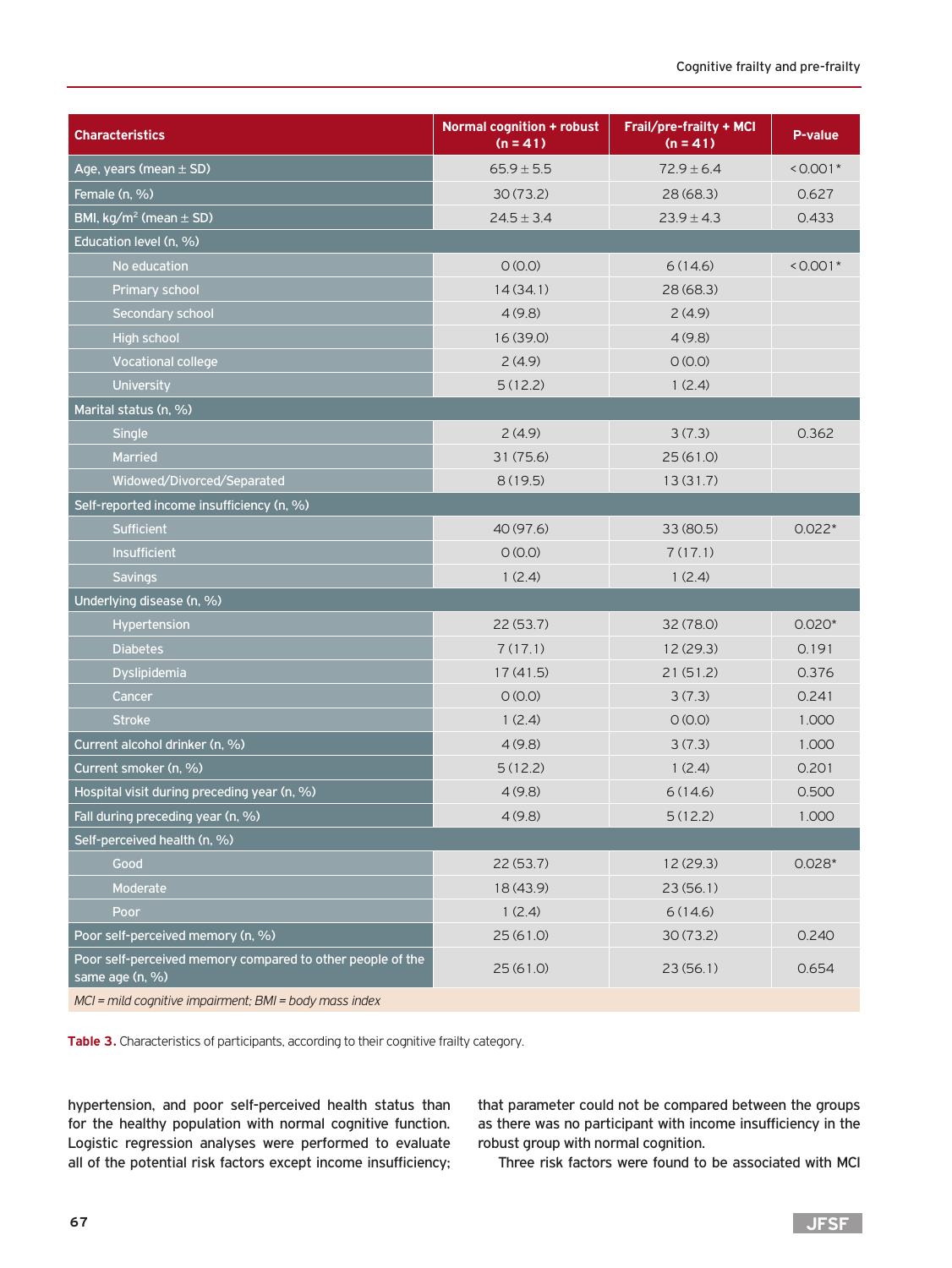| <b>Characteristics</b>                                                        | <b>Normal cognition + robust</b><br>$(n = 41)$ | Frail/pre-frailty + MCI<br>$(n = 41)$ | P-value    |
|-------------------------------------------------------------------------------|------------------------------------------------|---------------------------------------|------------|
| Age, years (mean $\pm$ SD)                                                    | $65.9 \pm 5.5$                                 | $72.9 \pm 6.4$                        | $< 0.001*$ |
| Female (n, %)                                                                 | 30(73.2)                                       | 28(68.3)                              | 0.627      |
| BMI, $kg/m^2$ (mean $\pm$ SD)                                                 | $24.5 \pm 3.4$                                 | $23.9 \pm 4.3$                        | 0.433      |
| Education level $(n, %)$                                                      |                                                |                                       |            |
| No education                                                                  | O(0.0)                                         | 6(14.6)                               | $< 0.001*$ |
| <b>Primary school</b>                                                         | 14(34.1)                                       | 28(68.3)                              |            |
| Secondary school                                                              | 4(9.8)                                         | 2(4.9)                                |            |
| <b>High school</b>                                                            | 16(39.0)                                       | 4(9.8)                                |            |
| <b>Vocational college</b>                                                     | 2(4.9)                                         | O(0.0)                                |            |
| University                                                                    | 5(12.2)                                        | 1(2.4)                                |            |
| Marital status (n, %)                                                         |                                                |                                       |            |
| Single                                                                        | 2(4.9)                                         | 3(7.3)                                | 0.362      |
| Married                                                                       | 31(75.6)                                       | 25(61.0)                              |            |
| Widowed/Divorced/Separated                                                    | 8(19.5)                                        | 13(31.7)                              |            |
| Self-reported income insufficiency (n, %)                                     |                                                |                                       |            |
| Sufficient                                                                    | 40 (97.6)                                      | 33 (80.5)                             | $0.022*$   |
| Insufficient                                                                  | O (O.0)                                        | 7(17.1)                               |            |
| <b>Savings</b>                                                                | 1(2.4)                                         | 1(2.4)                                |            |
| Underlying disease (n, %)                                                     |                                                |                                       |            |
| Hypertension                                                                  | 22(53.7)                                       | 32 (78.0)                             | $0.020*$   |
| <b>Diabetes</b>                                                               | 7(17.1)                                        | 12(29.3)                              | 0.191      |
| Dyslipidemia                                                                  | 17(41.5)                                       | 21(51.2)                              | 0.376      |
| Cancer                                                                        | O (O.O)                                        | 3(7.3)                                | 0.241      |
| <b>Stroke</b>                                                                 | 1(2.4)                                         | O(0.0)                                | 1.000      |
| Current alcohol drinker (n, %)                                                | 4(9.8)                                         | 3(7.3)                                | 1.000      |
| Current smoker (n, %)                                                         | 5(12.2)                                        | 1(2.4)                                | 0.201      |
| Hospital visit during preceding year (n, %)                                   | 4(9.8)                                         | 6(14.6)                               | 0.500      |
| Fall during preceding year (n, %)                                             | 4(9.8)                                         | 5(12.2)                               | 1.000      |
| Self-perceived health (n, %)                                                  |                                                |                                       |            |
| Good                                                                          | 22(53.7)                                       | 12 (29.3)                             | $0.028*$   |
| Moderate                                                                      | 18 (43.9)                                      | 23(56.1)                              |            |
| Poor                                                                          | 1(2.4)                                         | 6(14.6)                               |            |
| Poor self-perceived memory (n, %)                                             | 25(61.0)                                       | 30(73.2)                              | 0.240      |
| Poor self-perceived memory compared to other people of the<br>same age (n, %) | 25(61.0)                                       | 23(56.1)                              | 0.654      |

*MCI = mild cognitive impairment; BMI = body mass index*

**Table 3.** Characteristics of participants, according to their cognitive frailty category.

hypertension, and poor self-perceived health status than for the healthy population with normal cognitive function. Logistic regression analyses were performed to evaluate all of the potential risk factors except income insufficiency; that parameter could not be compared between the groups as there was no participant with income insufficiency in the robust group with normal cognition.

Three risk factors were found to be associated with MCI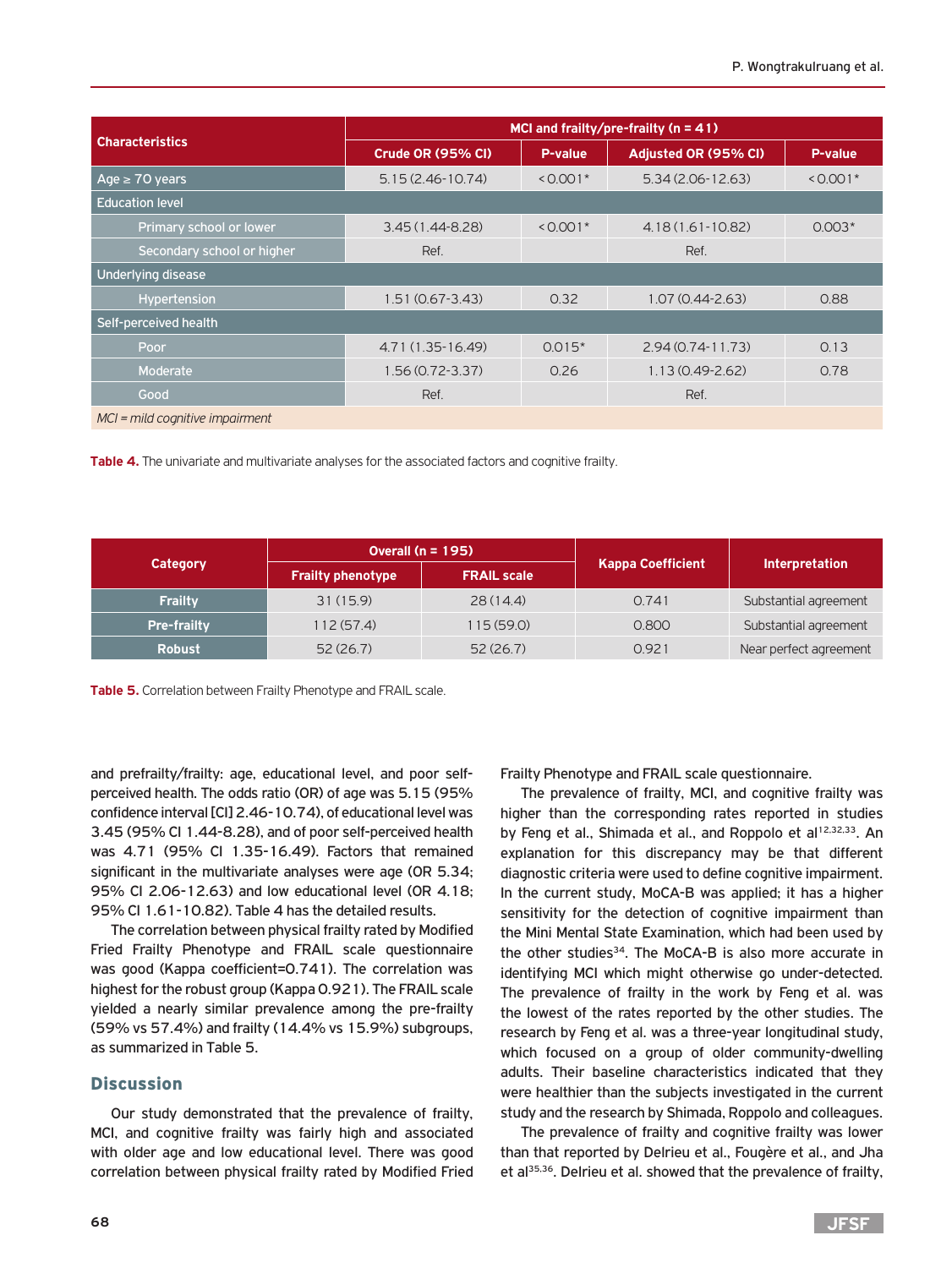|                                | MCI and frailty/pre-frailty ( $n = 41$ ) |                                    |                      |            |  |  |
|--------------------------------|------------------------------------------|------------------------------------|----------------------|------------|--|--|
| <b>Characteristics</b>         | Crude OR (95% CI)                        | P-value                            | Adjusted OR (95% CI) | P-value    |  |  |
| Age $\geq 70$ years            | $5.15(2.46-10.74)$                       | $< 0.001*$                         | $5.34(2.06-12.63)$   | $< 0.001*$ |  |  |
| <b>Education level</b>         |                                          |                                    |                      |            |  |  |
| Primary school or <u>lower</u> | $3.45(1.44 - 8.28)$                      | $< 0.001*$<br>$4.18(1.61 - 10.82)$ |                      | $0.003*$   |  |  |
| Secondary school or higher     | Ref.                                     |                                    | Ref.                 |            |  |  |
| Underlying disease             |                                          |                                    |                      |            |  |  |
| Hypertension                   | $1.51(0.67 - 3.43)$                      | 0.32                               |                      | 0.88       |  |  |
| Self-perceived health          |                                          |                                    |                      |            |  |  |
| Poor                           | 4.71 (1.35-16.49)                        | $0.015*$                           | $2.94(0.74 - 11.73)$ | 0.13       |  |  |
| Moderate                       | $1.56(0.72 - 3.37)$                      | 0.26                               | $1.13(0.49 - 2.62)$  | 0.78       |  |  |
| Good                           | Ref.                                     |                                    | Ref.                 |            |  |  |
|                                |                                          |                                    |                      |            |  |  |

*MCI = mild cognitive impairment*

**Table 4.** The univariate and multivariate analyses for the associated factors and cognitive frailty.

|                    | Overall ( $n = 195$ )    |                    |                          |                        |  |
|--------------------|--------------------------|--------------------|--------------------------|------------------------|--|
| Category           | <b>Frailty phenotype</b> | <b>FRAIL scale</b> | <b>Kappa Coefficient</b> | <b>Interpretation</b>  |  |
| <b>Frailty</b>     | 31(15.9)                 | 28(14.4)           | 0.741                    | Substantial agreement  |  |
| <b>Pre-frailty</b> | 112(57.4)                | 115(59.0)          | 0.800                    | Substantial agreement  |  |
| <b>Robust</b>      | 52(26.7)                 | 52(26.7)           | 0921                     | Near perfect agreement |  |

**Table 5.** Correlation between Frailty Phenotype and FRAIL scale.

and prefrailty/frailty: age, educational level, and poor selfperceived health. The odds ratio (OR) of age was 5.15 (95% confidence interval [CI] 2.46-10.74), of educational level was 3.45 (95% CI 1.44-8.28), and of poor self-perceived health was 4.71 (95% CI 1.35-16.49). Factors that remained significant in the multivariate analyses were age (OR 5.34; 95% CI 2.06-12.63) and low educational level (OR 4.18; 95% CI 1.61-10.82). Table 4 has the detailed results.

The correlation between physical frailty rated by Modified Fried Frailty Phenotype and FRAIL scale questionnaire was good (Kappa coefficient=0.741). The correlation was highest for the robust group (Kappa 0.921). The FRAIL scale yielded a nearly similar prevalence among the pre-frailty (59% vs 57.4%) and frailty (14.4% vs 15.9%) subgroups, as summarized in Table 5.

#### Discussion

Our study demonstrated that the prevalence of frailty, MCI, and cognitive frailty was fairly high and associated with older age and low educational level. There was good correlation between physical frailty rated by Modified Fried

Frailty Phenotype and FRAIL scale questionnaire.

The prevalence of frailty, MCI, and cognitive frailty was higher than the corresponding rates reported in studies by Feng et al., Shimada et al., and Roppolo et al<sup>12,32,33</sup>. An explanation for this discrepancy may be that different diagnostic criteria were used to define cognitive impairment. In the current study, MoCA-B was applied; it has a higher sensitivity for the detection of cognitive impairment than the Mini Mental State Examination, which had been used by the other studies<sup>34</sup>. The MoCA-B is also more accurate in identifying MCI which might otherwise go under-detected. The prevalence of frailty in the work by Feng et al. was the lowest of the rates reported by the other studies. The research by Feng et al. was a three-year longitudinal study, which focused on a group of older community-dwelling adults. Their baseline characteristics indicated that they were healthier than the subjects investigated in the current study and the research by Shimada, Roppolo and colleagues.

The prevalence of frailty and cognitive frailty was lower than that reported by Delrieu et al., Fougère et al., and Jha et al<sup>35,36</sup>. Delrieu et al. showed that the prevalence of frailty,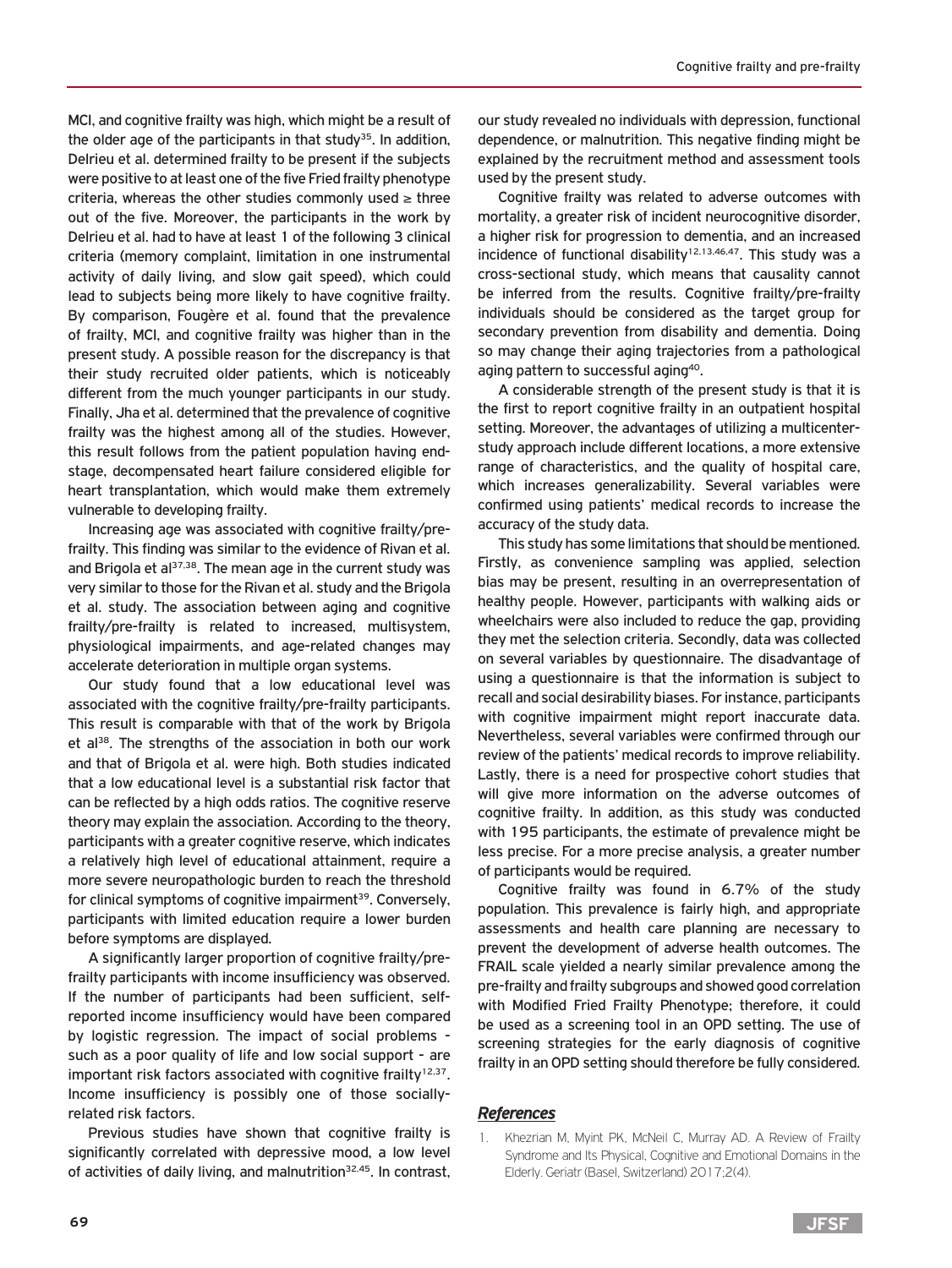MCI, and cognitive frailty was high, which might be a result of the older age of the participants in that study<sup>35</sup>. In addition, Delrieu et al. determined frailty to be present if the subjects were positive to at least one of the five Fried frailty phenotype criteria, whereas the other studies commonly used  $\geq$  three out of the five. Moreover, the participants in the work by Delrieu et al. had to have at least 1 of the following 3 clinical criteria (memory complaint, limitation in one instrumental activity of daily living, and slow gait speed), which could lead to subjects being more likely to have cognitive frailty. By comparison, Fougère et al. found that the prevalence of frailty, MCI, and cognitive frailty was higher than in the present study. A possible reason for the discrepancy is that their study recruited older patients, which is noticeably different from the much younger participants in our study. Finally, Jha et al. determined that the prevalence of cognitive frailty was the highest among all of the studies. However, this result follows from the patient population having endstage, decompensated heart failure considered eligible for heart transplantation, which would make them extremely vulnerable to developing frailty.

Increasing age was associated with cognitive frailty/prefrailty. This finding was similar to the evidence of Rivan et al. and Brigola et al $37,38$ . The mean age in the current study was very similar to those for the Rivan et al. study and the Brigola et al. study. The association between aging and cognitive frailty/pre-frailty is related to increased, multisystem, physiological impairments, and age-related changes may accelerate deterioration in multiple organ systems.

Our study found that a low educational level was associated with the cognitive frailty/pre-frailty participants. This result is comparable with that of the work by Brigola et al<sup>38</sup>. The strengths of the association in both our work and that of Brigola et al. were high. Both studies indicated that a low educational level is a substantial risk factor that can be reflected by a high odds ratios. The cognitive reserve theory may explain the association. According to the theory, participants with a greater cognitive reserve, which indicates a relatively high level of educational attainment, require a more severe neuropathologic burden to reach the threshold for clinical symptoms of cognitive impairment<sup>39</sup>. Conversely, participants with limited education require a lower burden before symptoms are displayed.

A significantly larger proportion of cognitive frailty/prefrailty participants with income insufficiency was observed. If the number of participants had been sufficient, selfreported income insufficiency would have been compared by logistic regression. The impact of social problems such as a poor quality of life and low social support - are important risk factors associated with cognitive frailty<sup>12,37</sup>. Income insufficiency is possibly one of those sociallyrelated risk factors.

Previous studies have shown that cognitive frailty is significantly correlated with depressive mood, a low level of activities of daily living, and malnutrition<sup>32,45</sup>. In contrast,

our study revealed no individuals with depression, functional dependence, or malnutrition. This negative finding might be explained by the recruitment method and assessment tools used by the present study.

Cognitive frailty was related to adverse outcomes with mortality, a greater risk of incident neurocognitive disorder, a higher risk for progression to dementia, and an increased incidence of functional disability<sup>12,13,46,47</sup>. This study was a cross-sectional study, which means that causality cannot be inferred from the results. Cognitive frailty/pre-frailty individuals should be considered as the target group for secondary prevention from disability and dementia. Doing so may change their aging trajectories from a pathological aging pattern to successful aging<sup>40</sup>.

A considerable strength of the present study is that it is the first to report cognitive frailty in an outpatient hospital setting. Moreover, the advantages of utilizing a multicenterstudy approach include different locations, a more extensive range of characteristics, and the quality of hospital care, which increases generalizability. Several variables were confirmed using patients' medical records to increase the accuracy of the study data.

This study has some limitations that should be mentioned. Firstly, as convenience sampling was applied, selection bias may be present, resulting in an overrepresentation of healthy people. However, participants with walking aids or wheelchairs were also included to reduce the gap, providing they met the selection criteria. Secondly, data was collected on several variables by questionnaire. The disadvantage of using a questionnaire is that the information is subject to recall and social desirability biases. For instance, participants with cognitive impairment might report inaccurate data. Nevertheless, several variables were confirmed through our review of the patients' medical records to improve reliability. Lastly, there is a need for prospective cohort studies that will give more information on the adverse outcomes of cognitive frailty. In addition, as this study was conducted with 195 participants, the estimate of prevalence might be less precise. For a more precise analysis, a greater number of participants would be required.

Cognitive frailty was found in 6.7% of the study population. This prevalence is fairly high, and appropriate assessments and health care planning are necessary to prevent the development of adverse health outcomes. The FRAIL scale yielded a nearly similar prevalence among the pre-frailty and frailty subgroups and showed good correlation with Modified Fried Frailty Phenotype; therefore, it could be used as a screening tool in an OPD setting. The use of screening strategies for the early diagnosis of cognitive frailty in an OPD setting should therefore be fully considered.

#### *References*

Khezrian M, Myint PK, McNeil C, Murray AD. A Review of Frailty Syndrome and Its Physical, Cognitive and Emotional Domains in the Elderly. Geriatr (Basel, Switzerland) 2017;2(4).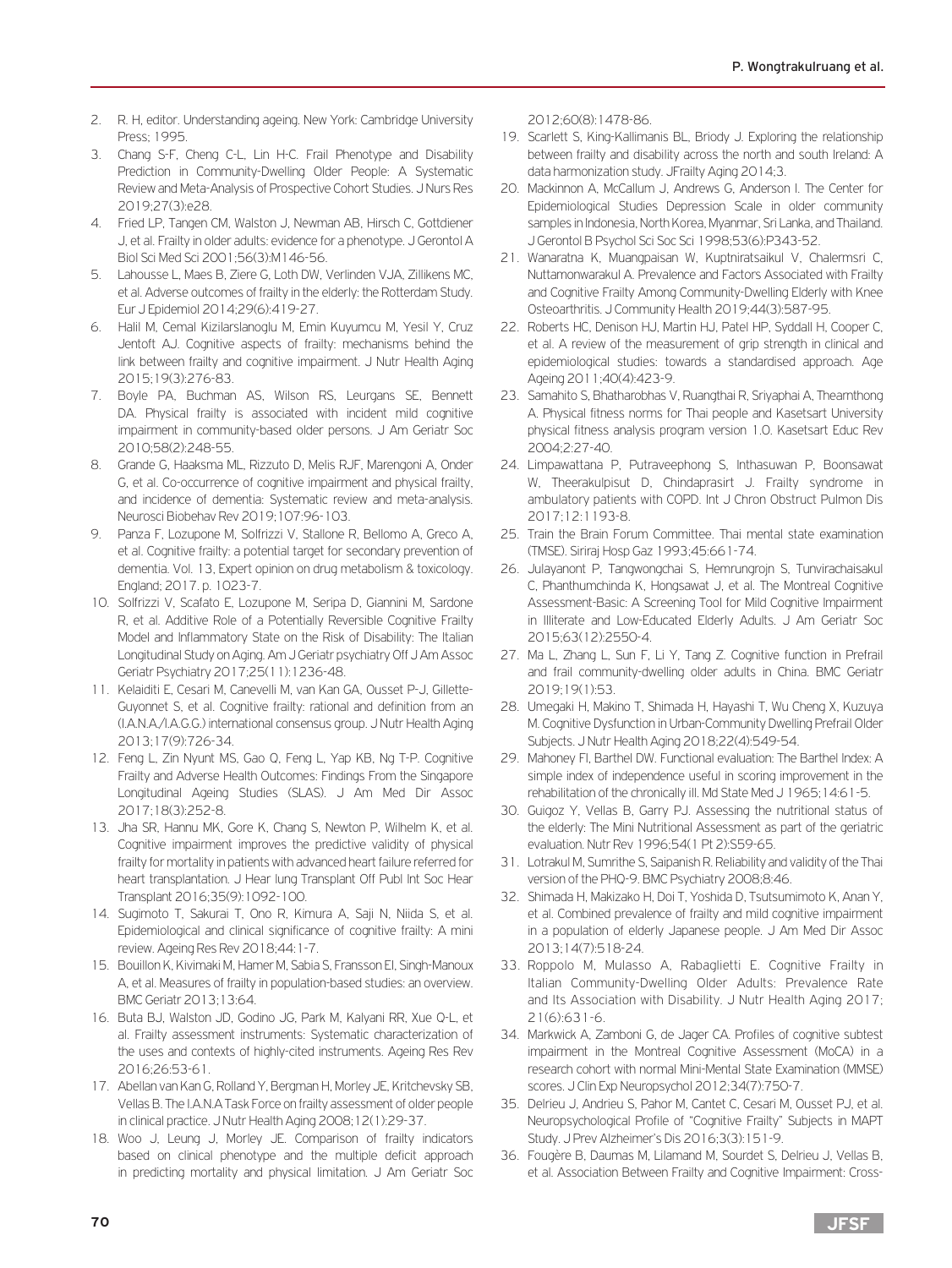- 2. R. H, editor. Understanding ageing. New York: Cambridge University Press; 1995.
- 3. Chang S-F, Cheng C-L, Lin H-C. Frail Phenotype and Disability Prediction in Community-Dwelling Older People: A Systematic Review and Meta-Analysis of Prospective Cohort Studies. J Nurs Res 2019;27(3):e28.
- 4. Fried LP, Tangen CM, Walston J, Newman AB, Hirsch C, Gottdiener J, et al. Frailty in older adults: evidence for a phenotype. J Gerontol A Biol Sci Med Sci 2001;56(3):M146-56.
- 5. Lahousse L, Maes B, Ziere G, Loth DW, Verlinden VJA, Zillikens MC, et al. Adverse outcomes of frailty in the elderly: the Rotterdam Study. Eur J Epidemiol 2014;29(6):419-27.
- 6. Halil M, Cemal Kizilarslanoglu M, Emin Kuyumcu M, Yesil Y, Cruz Jentoft AJ. Cognitive aspects of frailty: mechanisms behind the link between frailty and cognitive impairment. J Nutr Health Aging 2015;19(3):276-83.
- 7. Boyle PA, Buchman AS, Wilson RS, Leurgans SE, Bennett DA. Physical frailty is associated with incident mild cognitive impairment in community-based older persons. J Am Geriatr Soc 2010;58(2):248-55.
- 8. Grande G, Haaksma ML, Rizzuto D, Melis RJF, Marengoni A, Onder G, et al. Co-occurrence of cognitive impairment and physical frailty, and incidence of dementia: Systematic review and meta-analysis. Neurosci Biobehav Rev 2019;107:96-103.
- 9. Panza F, Lozupone M, Solfrizzi V, Stallone R, Bellomo A, Greco A, et al. Cognitive frailty: a potential target for secondary prevention of dementia. Vol. 13, Expert opinion on drug metabolism & toxicology. England; 2017. p. 1023-7.
- 10. Solfrizzi V, Scafato E, Lozupone M, Seripa D, Giannini M, Sardone R, et al. Additive Role of a Potentially Reversible Cognitive Frailty Model and Inflammatory State on the Risk of Disability: The Italian Longitudinal Study on Aging. Am J Geriatr psychiatry Off J Am Assoc Geriatr Psychiatry 2017;25(11):1236-48.
- 11. Kelaiditi E, Cesari M, Canevelli M, van Kan GA, Ousset P-J, Gillette-Guyonnet S, et al. Cognitive frailty: rational and definition from an (I.A.N.A./I.A.G.G.) international consensus group. J Nutr Health Aging 2013;17(9):726-34.
- 12. Feng L, Zin Nyunt MS, Gao Q, Feng L, Yap KB, Ng T-P. Cognitive Frailty and Adverse Health Outcomes: Findings From the Singapore Longitudinal Ageing Studies (SLAS). J Am Med Dir Assoc 2017;18(3):252-8.
- 13. Jha SR, Hannu MK, Gore K, Chang S, Newton P, Wilhelm K, et al. Cognitive impairment improves the predictive validity of physical frailty for mortality in patients with advanced heart failure referred for heart transplantation. J Hear lung Transplant Off Publ Int Soc Hear Transplant 2016;35(9):1092-100.
- 14. Sugimoto T, Sakurai T, Ono R, Kimura A, Saji N, Niida S, et al. Epidemiological and clinical significance of cognitive frailty: A mini review. Ageing Res Rev 2018;44:1-7.
- 15. Bouillon K, Kivimaki M, Hamer M, Sabia S, Fransson EI, Singh-Manoux A, et al. Measures of frailty in population-based studies: an overview. BMC Geriatr 2013;13:64.
- 16. Buta BJ, Walston JD, Godino JG, Park M, Kalyani RR, Xue Q-L, et al. Frailty assessment instruments: Systematic characterization of the uses and contexts of highly-cited instruments. Ageing Res Rev 2016;26:53-61.
- 17. Abellan van Kan G, Rolland Y, Bergman H, Morley JE, Kritchevsky SB, Vellas B. The I.A.N.A Task Force on frailty assessment of older people in clinical practice. J Nutr Health Aging 2008;12(1):29-37.
- 18. Woo J, Leung J, Morley JE. Comparison of frailty indicators based on clinical phenotype and the multiple deficit approach in predicting mortality and physical limitation. J Am Geriatr Soc

2012;60(8):1478-86.

- 19. Scarlett S, King-Kallimanis BL, Briody J. Exploring the relationship between frailty and disability across the north and south Ireland: A data harmonization study. JFrailty Aging 2014;3.
- 20. Mackinnon A, McCallum J, Andrews G, Anderson I. The Center for Epidemiological Studies Depression Scale in older community samples in Indonesia, North Korea, Myanmar, Sri Lanka, and Thailand. J Gerontol B Psychol Sci Soc Sci 1998;53(6):P343-52.
- 21. Wanaratna K, Muangpaisan W, Kuptniratsaikul V, Chalermsri C, Nuttamonwarakul A. Prevalence and Factors Associated with Frailty and Cognitive Frailty Among Community-Dwelling Elderly with Knee Osteoarthritis. J Community Health 2019;44(3):587-95.
- 22. Roberts HC, Denison HJ, Martin HJ, Patel HP, Syddall H, Cooper C, et al. A review of the measurement of grip strength in clinical and epidemiological studies: towards a standardised approach. Age Ageing 2011;40(4):423-9.
- 23. Samahito S, Bhatharobhas V, Ruangthai R, Sriyaphai A, Thearnthong A. Physical fitness norms for Thai people and Kasetsart University physical fitness analysis program version 1.0. Kasetsart Educ Rev 2004;2:27-40.
- 24. Limpawattana P, Putraveephong S, Inthasuwan P, Boonsawat W, Theerakulpisut D, Chindaprasirt J. Frailty syndrome in ambulatory patients with COPD. Int J Chron Obstruct Pulmon Dis 2017;12:1193-8.
- 25. Train the Brain Forum Committee. Thai mental state examination (TMSE). Siriraj Hosp Gaz 1993;45:661-74.
- 26. Julayanont P, Tangwongchai S, Hemrungrojn S, Tunvirachaisakul C, Phanthumchinda K, Hongsawat J, et al. The Montreal Cognitive Assessment-Basic: A Screening Tool for Mild Cognitive Impairment in Illiterate and Low-Educated Elderly Adults. J Am Geriatr Soc 2015;63(12):2550-4.
- 27. Ma L, Zhang L, Sun F, Li Y, Tang Z. Cognitive function in Prefrail and frail community-dwelling older adults in China. BMC Geriatr 2019;19(1):53.
- 28. Umegaki H, Makino T, Shimada H, Hayashi T, Wu Cheng X, Kuzuya M. Cognitive Dysfunction in Urban-Community Dwelling Prefrail Older Subjects. J Nutr Health Aging 2018;22(4):549-54.
- 29. Mahoney FI, Barthel DW. Functional evaluation: The Barthel Index: A simple index of independence useful in scoring improvement in the rehabilitation of the chronically ill. Md State Med J 1965; 14:61-5.
- 30. Guigoz Y, Vellas B, Garry PJ. Assessing the nutritional status of the elderly: The Mini Nutritional Assessment as part of the geriatric evaluation. Nutr Rev 1996;54(1 Pt 2):S59-65.
- 31. Lotrakul M, Sumrithe S, Saipanish R. Reliability and validity of the Thai version of the PHQ-9. BMC Psychiatry 2008;8:46.
- 32. Shimada H, Makizako H, Doi T, Yoshida D, Tsutsumimoto K, Anan Y, et al. Combined prevalence of frailty and mild cognitive impairment in a population of elderly Japanese people. J Am Med Dir Assoc 2013;14(7):518-24.
- 33. Roppolo M, Mulasso A, Rabaglietti E. Cognitive Frailty in Italian Community-Dwelling Older Adults: Prevalence Rate and Its Association with Disability. J Nutr Health Aging 2017; 21(6):631-6.
- 34. Markwick A, Zamboni G, de Jager CA. Profiles of cognitive subtest impairment in the Montreal Cognitive Assessment (MoCA) in a research cohort with normal Mini-Mental State Examination (MMSE) scores. J Clin Exp Neuropsychol 2012;34(7):750-7.
- 35. Delrieu J, Andrieu S, Pahor M, Cantet C, Cesari M, Ousset PJ, et al. Neuropsychological Profile of "Cognitive Frailty" Subjects in MAPT Study. J Prev Alzheimer's Dis 2016;3(3):151-9.
- 36. Fougère B, Daumas M, Lilamand M, Sourdet S, Delrieu J, Vellas B, et al. Association Between Frailty and Cognitive Impairment: Cross-